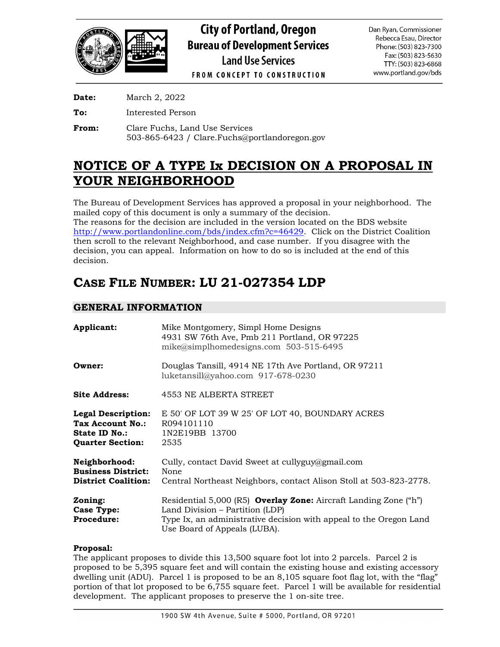

**Date:** March 2, 2022

**To:** Interested Person

**From:** Clare Fuchs, Land Use Services 503-865-6423 / Clare.Fuchs@portlandoregon.gov

# **NOTICE OF A TYPE Ix DECISION ON A PROPOSAL IN YOUR NEIGHBORHOOD**

The Bureau of Development Services has approved a proposal in your neighborhood. The mailed copy of this document is only a summary of the decision. The reasons for the decision are included in the version located on the BDS website

[http://www.portlandonline.com/bds/index.cfm?c=46429.](http://www.portlandonline.com/bds/index.cfm?c=46429) Click on the District Coalition then scroll to the relevant Neighborhood, and case number. If you disagree with the decision, you can appeal. Information on how to do so is included at the end of this decision.

# **CASE FILE NUMBER: LU 21-027354 LDP**

# **GENERAL INFORMATION**

| Applicant:                                                                                | Mike Montgomery, Simpl Home Designs<br>4931 SW 76th Ave, Pmb 211 Portland, OR 97225<br>$mike@simplhomedesigns.com$ 503-515-6495                                                                                  |  |
|-------------------------------------------------------------------------------------------|------------------------------------------------------------------------------------------------------------------------------------------------------------------------------------------------------------------|--|
| Owner:                                                                                    | Douglas Tansill, 4914 NE 17th Ave Portland, OR 97211<br>luketansill@yahoo.com 917-678-0230                                                                                                                       |  |
| <b>Site Address:</b>                                                                      | 4553 NE ALBERTA STREET                                                                                                                                                                                           |  |
| <b>Legal Description:</b><br>Tax Account No.:<br>State ID No.:<br><b>Quarter Section:</b> | E 50' OF LOT 39 W 25' OF LOT 40, BOUNDARY ACRES<br>R094101110<br>1N2E19BB 13700<br>2535                                                                                                                          |  |
| Neighborhood:<br><b>Business District:</b><br><b>District Coalition:</b>                  | Cully, contact David Sweet at cullyguy@gmail.com<br>None<br>Central Northeast Neighbors, contact Alison Stoll at 503-823-2778.                                                                                   |  |
| Zoning:<br>Case Type:<br><b>Procedure:</b>                                                | Residential 5,000 (R5) <b>Overlay Zone:</b> Aircraft Landing Zone ("h")<br>Land Division - Partition (LDP)<br>Type Ix, an administrative decision with appeal to the Oregon Land<br>Use Board of Appeals (LUBA). |  |

# **Proposal:**

The applicant proposes to divide this 13,500 square foot lot into 2 parcels. Parcel 2 is proposed to be 5,395 square feet and will contain the existing house and existing accessory dwelling unit (ADU). Parcel 1 is proposed to be an 8,105 square foot flag lot, with the "flag" portion of that lot proposed to be 6,755 square feet. Parcel 1 will be available for residential development. The applicant proposes to preserve the 1 on-site tree.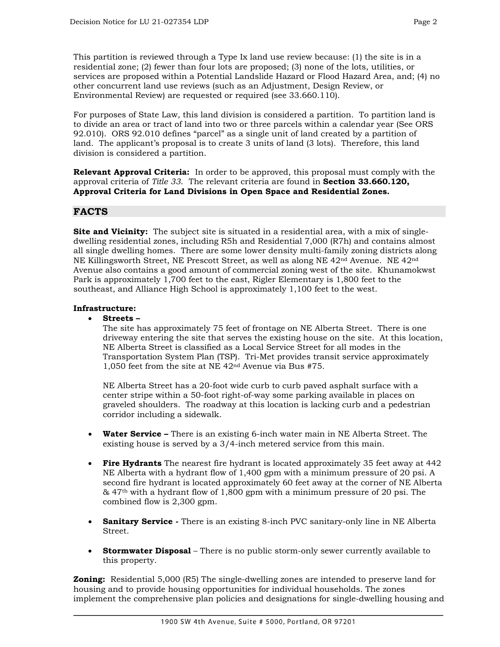This partition is reviewed through a Type Ix land use review because: (1) the site is in a residential zone; (2) fewer than four lots are proposed; (3) none of the lots, utilities, or services are proposed within a Potential Landslide Hazard or Flood Hazard Area, and; (4) no other concurrent land use reviews (such as an Adjustment, Design Review, or Environmental Review) are requested or required (see 33.660.110).

For purposes of State Law, this land division is considered a partition. To partition land is to divide an area or tract of land into two or three parcels within a calendar year (See ORS 92.010). ORS 92.010 defines "parcel" as a single unit of land created by a partition of land. The applicant's proposal is to create 3 units of land (3 lots). Therefore, this land division is considered a partition.

**Relevant Approval Criteria:** In order to be approved, this proposal must comply with the approval criteria of *Title 33*.The relevant criteria are found in **Section 33.660.120, Approval Criteria for Land Divisions in Open Space and Residential Zones.**

# **FACTS**

**Site and Vicinity:** The subject site is situated in a residential area, with a mix of singledwelling residential zones, including R5h and Residential 7,000 (R7h) and contains almost all single dwelling homes. There are some lower density multi-family zoning districts along NE Killingsworth Street, NE Prescott Street, as well as along NE 42nd Avenue. NE 42nd Avenue also contains a good amount of commercial zoning west of the site. Khunamokwst Park is approximately 1,700 feet to the east, Rigler Elementary is 1,800 feet to the southeast, and Alliance High School is approximately 1,100 feet to the west.

## **Infrastructure:**

• **Streets –**

The site has approximately 75 feet of frontage on NE Alberta Street. There is one driveway entering the site that serves the existing house on the site. At this location, NE Alberta Street is classified as a Local Service Street for all modes in the Transportation System Plan (TSP). Tri-Met provides transit service approximately 1,050 feet from the site at NE 42nd Avenue via Bus #75.

NE Alberta Street has a 20-foot wide curb to curb paved asphalt surface with a center stripe within a 50-foot right-of-way some parking available in places on graveled shoulders. The roadway at this location is lacking curb and a pedestrian corridor including a sidewalk.

- **Water Service –** There is an existing 6-inch water main in NE Alberta Street. The existing house is served by a 3/4-inch metered service from this main.
- **Fire Hydrants** The nearest fire hydrant is located approximately 35 feet away at 442 NE Alberta with a hydrant flow of 1,400 gpm with a minimum pressure of 20 psi. A second fire hydrant is located approximately 60 feet away at the corner of NE Alberta  $\&$  47<sup>th</sup> with a hydrant flow of 1,800 gpm with a minimum pressure of 20 psi. The combined flow is 2,300 gpm.
- **Sanitary Service -** There is an existing 8-inch PVC sanitary-only line in NE Alberta Street.
- **Stormwater Disposal** There is no public storm-only sewer currently available to this property.

**Zoning:** Residential 5,000 (R5) The single-dwelling zones are intended to preserve land for housing and to provide housing opportunities for individual households. The zones implement the comprehensive plan policies and designations for single-dwelling housing and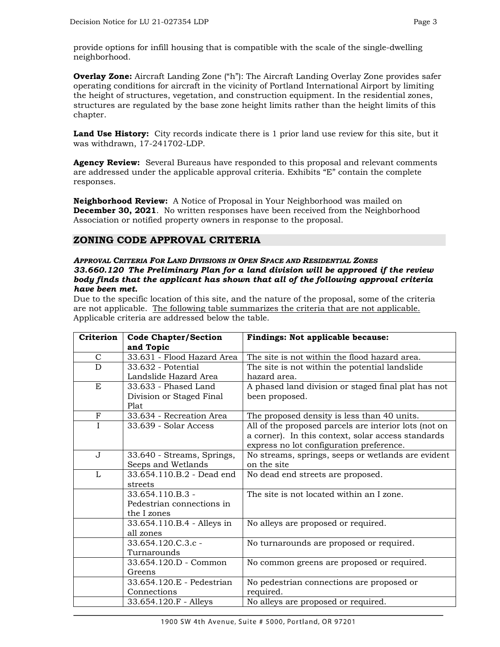**Overlay Zone:** Aircraft Landing Zone ("h"): The Aircraft Landing Overlay Zone provides safer operating conditions for aircraft in the vicinity of Portland International Airport by limiting the height of structures, vegetation, and construction equipment. In the residential zones, structures are regulated by the base zone height limits rather than the height limits of this chapter.

**Land Use History:** City records indicate there is 1 prior land use review for this site, but it was withdrawn, 17-241702-LDP.

**Agency Review:** Several Bureaus have responded to this proposal and relevant comments are addressed under the applicable approval criteria. Exhibits "E" contain the complete responses.

**Neighborhood Review:** A Notice of Proposal in Your Neighborhood was mailed on **December 30, 2021**. No written responses have been received from the Neighborhood Association or notified property owners in response to the proposal.

# **ZONING CODE APPROVAL CRITERIA**

#### *APPROVAL CRITERIA FOR LAND DIVISIONS IN OPEN SPACE AND RESIDENTIAL ZONES 33.660.120 The Preliminary Plan for a land division will be approved if the review body finds that the applicant has shown that all of the following approval criteria have been met.*

Due to the specific location of this site, and the nature of the proposal, some of the criteria are not applicable. The following table summarizes the criteria that are not applicable. Applicable criteria are addressed below the table.

| <b>Criterion</b> | <b>Code Chapter/Section</b> | Findings: Not applicable because:                     |
|------------------|-----------------------------|-------------------------------------------------------|
|                  | and Topic                   |                                                       |
| $\mathsf{C}$     | 33.631 - Flood Hazard Area  | The site is not within the flood hazard area.         |
| $\overline{D}$   | 33.632 - Potential          | The site is not within the potential landslide        |
|                  | Landslide Hazard Area       | hazard area.                                          |
| E                | 33.633 - Phased Land        | A phased land division or staged final plat has not   |
|                  | Division or Staged Final    | been proposed.                                        |
|                  | Plat                        |                                                       |
| $_{\rm F}$       | 33.634 - Recreation Area    | The proposed density is less than 40 units.           |
| I                | 33.639 - Solar Access       | All of the proposed parcels are interior lots (not on |
|                  |                             | a corner). In this context, solar access standards    |
|                  |                             | express no lot configuration preference.              |
| $\mathbf J$      | 33.640 - Streams, Springs,  | No streams, springs, seeps or wetlands are evident    |
|                  | Seeps and Wetlands          | on the site                                           |
| $\mathbf{L}$     | 33.654.110.B.2 - Dead end   | No dead end streets are proposed.                     |
|                  | streets                     |                                                       |
|                  | 33.654.110.B.3 -            | The site is not located within an I zone.             |
|                  | Pedestrian connections in   |                                                       |
|                  | the I zones                 |                                                       |
|                  | 33.654.110.B.4 - Alleys in  | No alleys are proposed or required.                   |
|                  | all zones                   |                                                       |
|                  | 33.654.120.C.3.c -          | No turnarounds are proposed or required.              |
|                  | Turnarounds                 |                                                       |
|                  | 33.654.120.D - Common       | No common greens are proposed or required.            |
|                  | Greens                      |                                                       |
|                  | 33.654.120.E - Pedestrian   | No pedestrian connections are proposed or             |
|                  | Connections                 | required.                                             |
|                  | 33.654.120.F - Alleys       | No alleys are proposed or required.                   |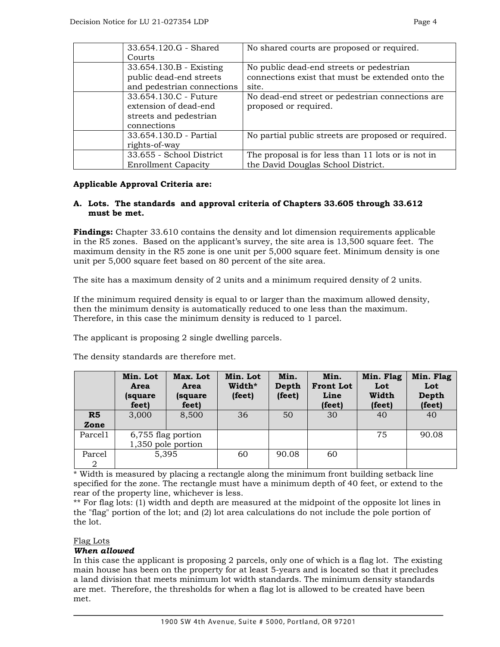| 33.654.120.G - Shared      | No shared courts are proposed or required.          |
|----------------------------|-----------------------------------------------------|
| Courts                     |                                                     |
| 33.654.130.B - Existing    | No public dead-end streets or pedestrian            |
| public dead-end streets    | connections exist that must be extended onto the    |
| and pedestrian connections | site.                                               |
| 33.654.130.C - Future      | No dead-end street or pedestrian connections are    |
| extension of dead-end      | proposed or required.                               |
| streets and pedestrian     |                                                     |
| connections                |                                                     |
| 33.654.130.D - Partial     | No partial public streets are proposed or required. |
| rights-of-way              |                                                     |
| 33.655 - School District   | The proposal is for less than 11 lots or is not in  |
| <b>Enrollment Capacity</b> | the David Douglas School District.                  |

## **Applicable Approval Criteria are:**

## **A. Lots. The standards and approval criteria of Chapters 33.605 through 33.612 must be met.**

**Findings:** Chapter 33.610 contains the density and lot dimension requirements applicable in the R5 zones. Based on the applicant's survey, the site area is 13,500 square feet. The maximum density in the R5 zone is one unit per 5,000 square feet. Minimum density is one unit per 5,000 square feet based on 80 percent of the site area.

The site has a maximum density of 2 units and a minimum required density of 2 units.

If the minimum required density is equal to or larger than the maximum allowed density, then the minimum density is automatically reduced to one less than the maximum. Therefore, in this case the minimum density is reduced to 1 parcel.

The applicant is proposing 2 single dwelling parcels.

|             | Min. Lot<br>Area<br>(square)<br>feet) | Max. Lot<br>Area<br>(square)<br>feet)    | Min. Lot<br>Width*<br>(feet) | Min.<br>Depth<br>(feet) | Min.<br><b>Front Lot</b><br>Line<br>(feet) | Min. Flag<br>Lot<br>Width<br>(feet) | Min. Flag<br>Lot<br>Depth<br>(feet) |
|-------------|---------------------------------------|------------------------------------------|------------------------------|-------------------------|--------------------------------------------|-------------------------------------|-------------------------------------|
| R5<br>Zone  | 3,000                                 | 8,500                                    | 36                           | 50                      | 30                                         | 40                                  | 40                                  |
| Parcel1     |                                       | 6,755 flag portion<br>1,350 pole portion |                              |                         |                                            | 75                                  | 90.08                               |
| Parcel<br>2 |                                       | 5,395                                    | 60                           | 90.08                   | 60                                         |                                     |                                     |

The density standards are therefore met.

\* Width is measured by placing a rectangle along the minimum front building setback line specified for the zone. The rectangle must have a minimum depth of 40 feet, or extend to the rear of the property line, whichever is less.

\*\* For flag lots: (1) width and depth are measured at the midpoint of the opposite lot lines in the "flag" portion of the lot; and (2) lot area calculations do not include the pole portion of the lot.

#### Flag Lots

# *When allowed*

In this case the applicant is proposing 2 parcels, only one of which is a flag lot. The existing main house has been on the property for at least 5-years and is located so that it precludes a land division that meets minimum lot width standards. The minimum density standards are met. Therefore, the thresholds for when a flag lot is allowed to be created have been met.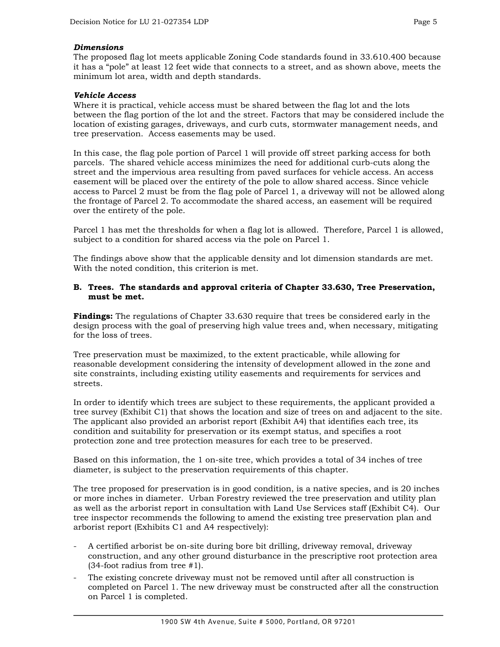#### *Dimensions*

The proposed flag lot meets applicable Zoning Code standards found in 33.610.400 because it has a "pole" at least 12 feet wide that connects to a street, and as shown above, meets the minimum lot area, width and depth standards.

# *Vehicle Access*

Where it is practical, vehicle access must be shared between the flag lot and the lots between the flag portion of the lot and the street. Factors that may be considered include the location of existing garages, driveways, and curb cuts, stormwater management needs, and tree preservation. Access easements may be used.

In this case, the flag pole portion of Parcel 1 will provide off street parking access for both parcels. The shared vehicle access minimizes the need for additional curb-cuts along the street and the impervious area resulting from paved surfaces for vehicle access. An access easement will be placed over the entirety of the pole to allow shared access. Since vehicle access to Parcel 2 must be from the flag pole of Parcel 1, a driveway will not be allowed along the frontage of Parcel 2. To accommodate the shared access, an easement will be required over the entirety of the pole.

Parcel 1 has met the thresholds for when a flag lot is allowed. Therefore, Parcel 1 is allowed, subject to a condition for shared access via the pole on Parcel 1.

The findings above show that the applicable density and lot dimension standards are met. With the noted condition, this criterion is met.

#### **B. Trees. The standards and approval criteria of Chapter 33.630, Tree Preservation, must be met.**

**Findings:** The regulations of Chapter 33.630 require that trees be considered early in the design process with the goal of preserving high value trees and, when necessary, mitigating for the loss of trees.

Tree preservation must be maximized, to the extent practicable, while allowing for reasonable development considering the intensity of development allowed in the zone and site constraints, including existing utility easements and requirements for services and streets.

In order to identify which trees are subject to these requirements, the applicant provided a tree survey (Exhibit C1) that shows the location and size of trees on and adjacent to the site. The applicant also provided an arborist report (Exhibit A4) that identifies each tree, its condition and suitability for preservation or its exempt status, and specifies a root protection zone and tree protection measures for each tree to be preserved.

Based on this information, the 1 on-site tree, which provides a total of 34 inches of tree diameter, is subject to the preservation requirements of this chapter.

The tree proposed for preservation is in good condition, is a native species, and is 20 inches or more inches in diameter. Urban Forestry reviewed the tree preservation and utility plan as well as the arborist report in consultation with Land Use Services staff (Exhibit C4). Our tree inspector recommends the following to amend the existing tree preservation plan and arborist report (Exhibits C1 and A4 respectively):

- A certified arborist be on-site during bore bit drilling, driveway removal, driveway construction, and any other ground disturbance in the prescriptive root protection area (34-foot radius from tree #1).
- The existing concrete driveway must not be removed until after all construction is completed on Parcel 1. The new driveway must be constructed after all the construction on Parcel 1 is completed.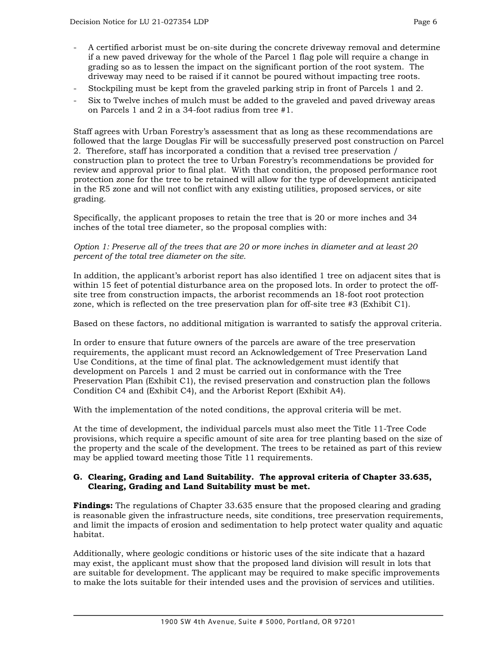- A certified arborist must be on-site during the concrete driveway removal and determine if a new paved driveway for the whole of the Parcel 1 flag pole will require a change in grading so as to lessen the impact on the significant portion of the root system. The driveway may need to be raised if it cannot be poured without impacting tree roots.
- Stockpiling must be kept from the graveled parking strip in front of Parcels 1 and 2.
- Six to Twelve inches of mulch must be added to the graveled and paved driveway areas on Parcels 1 and 2 in a 34-foot radius from tree #1.

Staff agrees with Urban Forestry's assessment that as long as these recommendations are followed that the large Douglas Fir will be successfully preserved post construction on Parcel 2. Therefore, staff has incorporated a condition that a revised tree preservation / construction plan to protect the tree to Urban Forestry's recommendations be provided for review and approval prior to final plat. With that condition, the proposed performance root protection zone for the tree to be retained will allow for the type of development anticipated in the R5 zone and will not conflict with any existing utilities, proposed services, or site grading.

Specifically, the applicant proposes to retain the tree that is 20 or more inches and 34 inches of the total tree diameter, so the proposal complies with:

*Option 1: Preserve all of the trees that are 20 or more inches in diameter and at least 20 percent of the total tree diameter on the site.* 

In addition, the applicant's arborist report has also identified 1 tree on adjacent sites that is within 15 feet of potential disturbance area on the proposed lots. In order to protect the offsite tree from construction impacts, the arborist recommends an 18-foot root protection zone, which is reflected on the tree preservation plan for off-site tree #3 (Exhibit C1).

Based on these factors, no additional mitigation is warranted to satisfy the approval criteria.

In order to ensure that future owners of the parcels are aware of the tree preservation requirements, the applicant must record an Acknowledgement of Tree Preservation Land Use Conditions, at the time of final plat. The acknowledgement must identify that development on Parcels 1 and 2 must be carried out in conformance with the Tree Preservation Plan (Exhibit C1), the revised preservation and construction plan the follows Condition C4 and (Exhibit C4), and the Arborist Report (Exhibit A4).

With the implementation of the noted conditions, the approval criteria will be met.

At the time of development, the individual parcels must also meet the Title 11-Tree Code provisions, which require a specific amount of site area for tree planting based on the size of the property and the scale of the development. The trees to be retained as part of this review may be applied toward meeting those Title 11 requirements.

## **G. Clearing, Grading and Land Suitability. The approval criteria of Chapter 33.635, Clearing, Grading and Land Suitability must be met.**

**Findings:** The regulations of Chapter 33.635 ensure that the proposed clearing and grading is reasonable given the infrastructure needs, site conditions, tree preservation requirements, and limit the impacts of erosion and sedimentation to help protect water quality and aquatic habitat.

Additionally, where geologic conditions or historic uses of the site indicate that a hazard may exist, the applicant must show that the proposed land division will result in lots that are suitable for development. The applicant may be required to make specific improvements to make the lots suitable for their intended uses and the provision of services and utilities.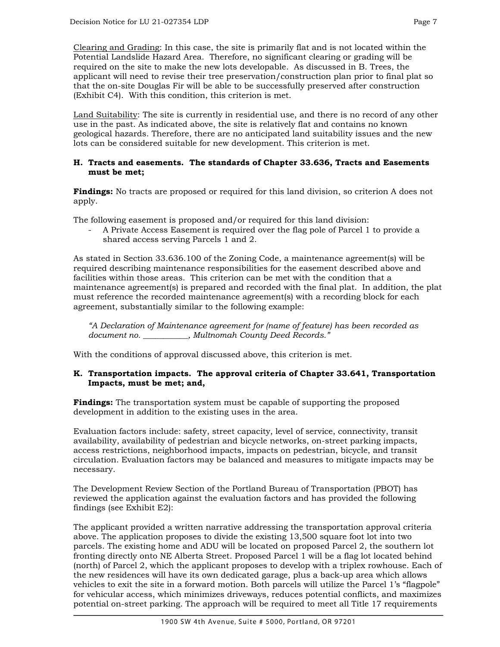Clearing and Grading: In this case, the site is primarily flat and is not located within the Potential Landslide Hazard Area. Therefore, no significant clearing or grading will be required on the site to make the new lots developable. As discussed in B. Trees, the applicant will need to revise their tree preservation/construction plan prior to final plat so that the on-site Douglas Fir will be able to be successfully preserved after construction (Exhibit C4). With this condition, this criterion is met.

Land Suitability: The site is currently in residential use, and there is no record of any other use in the past. As indicated above, the site is relatively flat and contains no known geological hazards. Therefore, there are no anticipated land suitability issues and the new lots can be considered suitable for new development. This criterion is met.

## **H. Tracts and easements. The standards of Chapter 33.636, Tracts and Easements must be met;**

**Findings:** No tracts are proposed or required for this land division, so criterion A does not apply.

The following easement is proposed and/or required for this land division:

- A Private Access Easement is required over the flag pole of Parcel 1 to provide a shared access serving Parcels 1 and 2.

As stated in Section 33.636.100 of the Zoning Code, a maintenance agreement(s) will be required describing maintenance responsibilities for the easement described above and facilities within those areas. This criterion can be met with the condition that a maintenance agreement(s) is prepared and recorded with the final plat. In addition, the plat must reference the recorded maintenance agreement(s) with a recording block for each agreement, substantially similar to the following example:

*"A Declaration of Maintenance agreement for (name of feature) has been recorded as document no. \_\_\_\_\_\_\_\_\_\_\_, Multnomah County Deed Records."*

With the conditions of approval discussed above, this criterion is met.

# **K. Transportation impacts. The approval criteria of Chapter 33.641, Transportation Impacts, must be met; and,**

**Findings:** The transportation system must be capable of supporting the proposed development in addition to the existing uses in the area.

Evaluation factors include: safety, street capacity, level of service, connectivity, transit availability, availability of pedestrian and bicycle networks, on-street parking impacts, access restrictions, neighborhood impacts, impacts on pedestrian, bicycle, and transit circulation. Evaluation factors may be balanced and measures to mitigate impacts may be necessary.

The Development Review Section of the Portland Bureau of Transportation (PBOT) has reviewed the application against the evaluation factors and has provided the following findings (see Exhibit E2):

The applicant provided a written narrative addressing the transportation approval criteria above. The application proposes to divide the existing 13,500 square foot lot into two parcels. The existing home and ADU will be located on proposed Parcel 2, the southern lot fronting directly onto NE Alberta Street. Proposed Parcel 1 will be a flag lot located behind (north) of Parcel 2, which the applicant proposes to develop with a triplex rowhouse. Each of the new residences will have its own dedicated garage, plus a back-up area which allows vehicles to exit the site in a forward motion. Both parcels will utilize the Parcel 1's "flagpole" for vehicular access, which minimizes driveways, reduces potential conflicts, and maximizes potential on-street parking. The approach will be required to meet all Title 17 requirements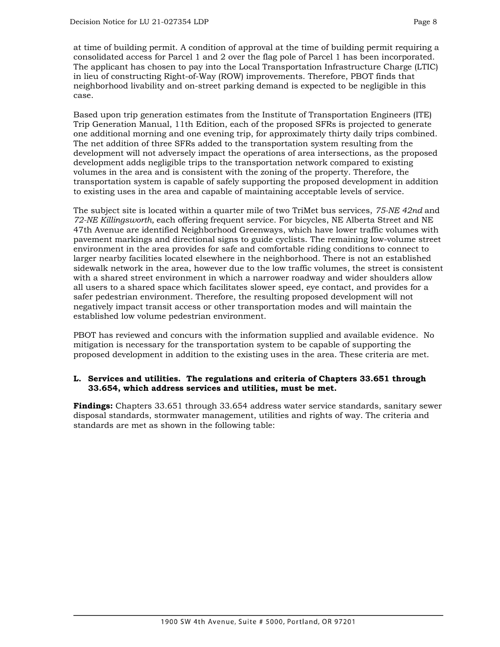at time of building permit. A condition of approval at the time of building permit requiring a consolidated access for Parcel 1 and 2 over the flag pole of Parcel 1 has been incorporated. The applicant has chosen to pay into the Local Transportation Infrastructure Charge (LTIC) in lieu of constructing Right-of-Way (ROW) improvements. Therefore, PBOT finds that neighborhood livability and on-street parking demand is expected to be negligible in this case.

Based upon trip generation estimates from the Institute of Transportation Engineers (ITE) Trip Generation Manual, 11th Edition, each of the proposed SFRs is projected to generate one additional morning and one evening trip, for approximately thirty daily trips combined. The net addition of three SFRs added to the transportation system resulting from the development will not adversely impact the operations of area intersections, as the proposed development adds negligible trips to the transportation network compared to existing volumes in the area and is consistent with the zoning of the property. Therefore, the transportation system is capable of safely supporting the proposed development in addition to existing uses in the area and capable of maintaining acceptable levels of service.

The subject site is located within a quarter mile of two TriMet bus services, *75-NE 42nd* and *72-NE Killingsworth,* each offering frequent service. For bicycles, NE Alberta Street and NE 47th Avenue are identified Neighborhood Greenways, which have lower traffic volumes with pavement markings and directional signs to guide cyclists. The remaining low-volume street environment in the area provides for safe and comfortable riding conditions to connect to larger nearby facilities located elsewhere in the neighborhood. There is not an established sidewalk network in the area, however due to the low traffic volumes, the street is consistent with a shared street environment in which a narrower roadway and wider shoulders allow all users to a shared space which facilitates slower speed, eye contact, and provides for a safer pedestrian environment. Therefore, the resulting proposed development will not negatively impact transit access or other transportation modes and will maintain the established low volume pedestrian environment.

PBOT has reviewed and concurs with the information supplied and available evidence. No mitigation is necessary for the transportation system to be capable of supporting the proposed development in addition to the existing uses in the area. These criteria are met.

## **L. Services and utilities. The regulations and criteria of Chapters 33.651 through 33.654, which address services and utilities, must be met.**

**Findings:** Chapters 33.651 through 33.654 address water service standards, sanitary sewer disposal standards, stormwater management, utilities and rights of way. The criteria and standards are met as shown in the following table: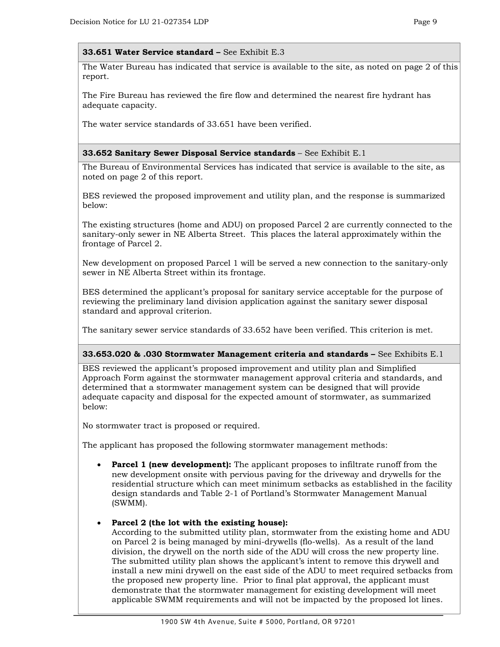#### **33.651 Water Service standard –** See Exhibit E.3

The Water Bureau has indicated that service is available to the site, as noted on page 2 of this report.

The Fire Bureau has reviewed the fire flow and determined the nearest fire hydrant has adequate capacity.

The water service standards of 33.651 have been verified.

#### **33.652 Sanitary Sewer Disposal Service standards** – See Exhibit E.1

The Bureau of Environmental Services has indicated that service is available to the site, as noted on page 2 of this report.

BES reviewed the proposed improvement and utility plan, and the response is summarized below:

The existing structures (home and ADU) on proposed Parcel 2 are currently connected to the sanitary-only sewer in NE Alberta Street. This places the lateral approximately within the frontage of Parcel 2.

New development on proposed Parcel 1 will be served a new connection to the sanitary-only sewer in NE Alberta Street within its frontage.

BES determined the applicant's proposal for sanitary service acceptable for the purpose of reviewing the preliminary land division application against the sanitary sewer disposal standard and approval criterion.

The sanitary sewer service standards of 33.652 have been verified. This criterion is met.

#### **33.653.020 & .030 Stormwater Management criteria and standards –** See Exhibits E.1

BES reviewed the applicant's proposed improvement and utility plan and Simplified Approach Form against the stormwater management approval criteria and standards, and determined that a stormwater management system can be designed that will provide adequate capacity and disposal for the expected amount of stormwater, as summarized below:

No stormwater tract is proposed or required.

The applicant has proposed the following stormwater management methods:

**Parcel 1 (new development):** The applicant proposes to infiltrate runoff from the new development onsite with pervious paving for the driveway and drywells for the residential structure which can meet minimum setbacks as established in the facility design standards and Table 2-1 of Portland's Stormwater Management Manual (SWMM).

#### • **Parcel 2 (the lot with the existing house):**

According to the submitted utility plan, stormwater from the existing home and ADU on Parcel 2 is being managed by mini-drywells (flo-wells). As a result of the land division, the drywell on the north side of the ADU will cross the new property line. The submitted utility plan shows the applicant's intent to remove this drywell and install a new mini drywell on the east side of the ADU to meet required setbacks from the proposed new property line. Prior to final plat approval, the applicant must demonstrate that the stormwater management for existing development will meet applicable SWMM requirements and will not be impacted by the proposed lot lines.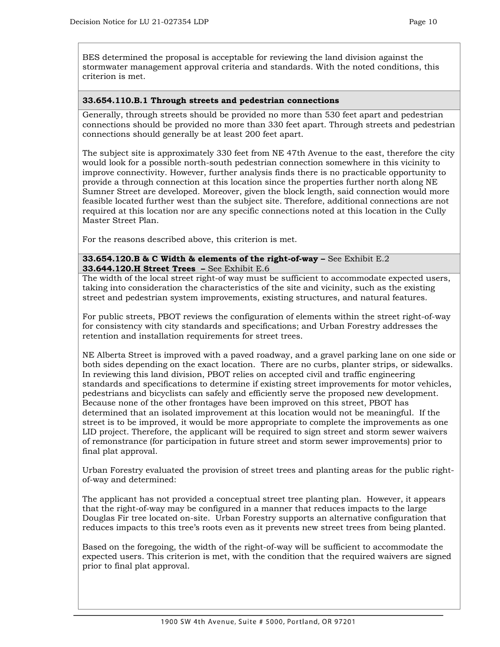BES determined the proposal is acceptable for reviewing the land division against the stormwater management approval criteria and standards. With the noted conditions, this criterion is met.

#### **33.654.110.B.1 Through streets and pedestrian connections**

Generally, through streets should be provided no more than 530 feet apart and pedestrian connections should be provided no more than 330 feet apart. Through streets and pedestrian connections should generally be at least 200 feet apart.

The subject site is approximately 330 feet from NE 47th Avenue to the east, therefore the city would look for a possible north-south pedestrian connection somewhere in this vicinity to improve connectivity. However, further analysis finds there is no practicable opportunity to provide a through connection at this location since the properties further north along NE Sumner Street are developed. Moreover, given the block length, said connection would more feasible located further west than the subject site. Therefore, additional connections are not required at this location nor are any specific connections noted at this location in the Cully Master Street Plan.

For the reasons described above, this criterion is met.

**33.654.120.B & C Width & elements of the right-of-way –** See Exhibit E.2 **33.644.120.H Street Trees –** See Exhibit E.6

The width of the local street right-of way must be sufficient to accommodate expected users, taking into consideration the characteristics of the site and vicinity, such as the existing street and pedestrian system improvements, existing structures, and natural features.

For public streets, PBOT reviews the configuration of elements within the street right-of-way for consistency with city standards and specifications; and Urban Forestry addresses the retention and installation requirements for street trees.

NE Alberta Street is improved with a paved roadway, and a gravel parking lane on one side or both sides depending on the exact location. There are no curbs, planter strips, or sidewalks. In reviewing this land division, PBOT relies on accepted civil and traffic engineering standards and specifications to determine if existing street improvements for motor vehicles, pedestrians and bicyclists can safely and efficiently serve the proposed new development. Because none of the other frontages have been improved on this street, PBOT has determined that an isolated improvement at this location would not be meaningful. If the street is to be improved, it would be more appropriate to complete the improvements as one LID project. Therefore, the applicant will be required to sign street and storm sewer waivers of remonstrance (for participation in future street and storm sewer improvements) prior to final plat approval.

Urban Forestry evaluated the provision of street trees and planting areas for the public rightof-way and determined:

The applicant has not provided a conceptual street tree planting plan. However, it appears that the right-of-way may be configured in a manner that reduces impacts to the large Douglas Fir tree located on-site. Urban Forestry supports an alternative configuration that reduces impacts to this tree's roots even as it prevents new street trees from being planted.

Based on the foregoing, the width of the right-of-way will be sufficient to accommodate the expected users. This criterion is met, with the condition that the required waivers are signed prior to final plat approval.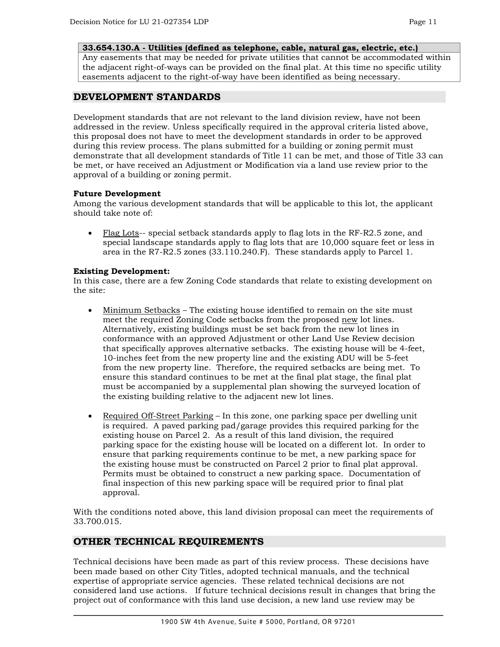#### **33.654.130.A - Utilities (defined as telephone, cable, natural gas, electric, etc.)**

Any easements that may be needed for private utilities that cannot be accommodated within the adjacent right-of-ways can be provided on the final plat. At this time no specific utility easements adjacent to the right-of-way have been identified as being necessary.

# **DEVELOPMENT STANDARDS**

Development standards that are not relevant to the land division review, have not been addressed in the review. Unless specifically required in the approval criteria listed above, this proposal does not have to meet the development standards in order to be approved during this review process. The plans submitted for a building or zoning permit must demonstrate that all development standards of Title 11 can be met, and those of Title 33 can be met, or have received an Adjustment or Modification via a land use review prior to the approval of a building or zoning permit.

## **Future Development**

Among the various development standards that will be applicable to this lot, the applicant should take note of:

• Flag Lots-- special setback standards apply to flag lots in the RF-R2.5 zone, and special landscape standards apply to flag lots that are 10,000 square feet or less in area in the R7-R2.5 zones (33.110.240.F). These standards apply to Parcel 1.

#### **Existing Development:**

In this case, there are a few Zoning Code standards that relate to existing development on the site:

- Minimum Setbacks The existing house identified to remain on the site must meet the required Zoning Code setbacks from the proposed new lot lines. Alternatively, existing buildings must be set back from the new lot lines in conformance with an approved Adjustment or other Land Use Review decision that specifically approves alternative setbacks. The existing house will be 4-feet, 10-inches feet from the new property line and the existing ADU will be 5-feet from the new property line. Therefore, the required setbacks are being met. To ensure this standard continues to be met at the final plat stage, the final plat must be accompanied by a supplemental plan showing the surveyed location of the existing building relative to the adjacent new lot lines.
- Required Off-Street Parking In this zone, one parking space per dwelling unit is required. A paved parking pad/garage provides this required parking for the existing house on Parcel 2. As a result of this land division, the required parking space for the existing house will be located on a different lot. In order to ensure that parking requirements continue to be met, a new parking space for the existing house must be constructed on Parcel 2 prior to final plat approval. Permits must be obtained to construct a new parking space. Documentation of final inspection of this new parking space will be required prior to final plat approval.

With the conditions noted above, this land division proposal can meet the requirements of 33.700.015.

# **OTHER TECHNICAL REQUIREMENTS**

Technical decisions have been made as part of this review process. These decisions have been made based on other City Titles, adopted technical manuals, and the technical expertise of appropriate service agencies. These related technical decisions are not considered land use actions. If future technical decisions result in changes that bring the project out of conformance with this land use decision, a new land use review may be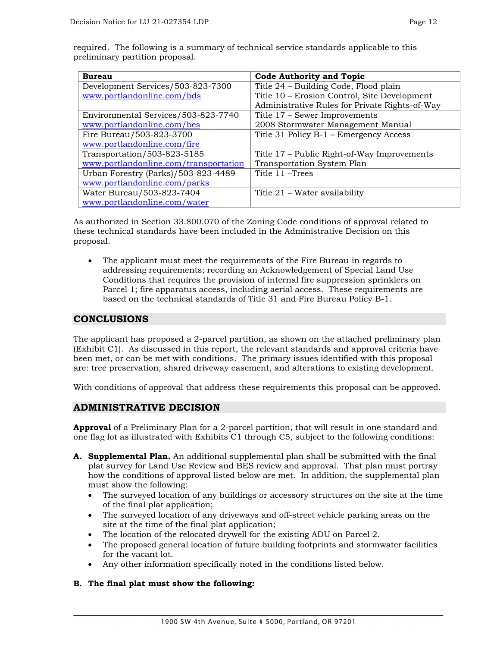| <b>Bureau</b> | <b>Code Authority and Topic</b>                                                        |
|---------------|----------------------------------------------------------------------------------------|
|               | preliminary partition proposal.                                                        |
|               | required. The following is a summary of technical service standards applicable to this |

| <b>Bureau</b>                         | <b>Code Authority and Topic</b>                |
|---------------------------------------|------------------------------------------------|
| Development Services/503-823-7300     | Title 24 – Building Code, Flood plain          |
| www.portlandonline.com/bds            | Title 10 - Erosion Control, Site Development   |
|                                       | Administrative Rules for Private Rights-of-Way |
| Environmental Services/503-823-7740   | Title 17 - Sewer Improvements                  |
| www.portlandonline.com/bes            | 2008 Stormwater Management Manual              |
| Fire Bureau/503-823-3700              | Title 31 Policy B-1 - Emergency Access         |
| www.portlandonline.com/fire           |                                                |
| Transportation/503-823-5185           | Title 17 – Public Right-of-Way Improvements    |
| www.portlandonline.com/transportation | <b>Transportation System Plan</b>              |
| Urban Forestry (Parks)/503-823-4489   | Title 11 – Trees                               |
| www.portlandonline.com/parks          |                                                |
| Water Bureau/503-823-7404             | Title 21 – Water availability                  |
| www.portlandonline.com/water          |                                                |

As authorized in Section 33.800.070 of the Zoning Code conditions of approval related to these technical standards have been included in the Administrative Decision on this proposal.

• The applicant must meet the requirements of the Fire Bureau in regards to addressing requirements; recording an Acknowledgement of Special Land Use Conditions that requires the provision of internal fire suppression sprinklers on Parcel 1; fire apparatus access, including aerial access. These requirements are based on the technical standards of Title 31 and Fire Bureau Policy B-1.

# **CONCLUSIONS**

The applicant has proposed a 2-parcel partition, as shown on the attached preliminary plan (Exhibit C1). As discussed in this report, the relevant standards and approval criteria have been met, or can be met with conditions. The primary issues identified with this proposal are: tree preservation, shared driveway easement, and alterations to existing development.

With conditions of approval that address these requirements this proposal can be approved.

# **ADMINISTRATIVE DECISION**

**Approval** of a Preliminary Plan for a 2-parcel partition, that will result in one standard and one flag lot as illustrated with Exhibits C1 through C5, subject to the following conditions:

- **A. Supplemental Plan.** An additional supplemental plan shall be submitted with the final plat survey for Land Use Review and BES review and approval. That plan must portray how the conditions of approval listed below are met. In addition, the supplemental plan must show the following:
	- The surveyed location of any buildings or accessory structures on the site at the time of the final plat application;
	- The surveyed location of any driveways and off-street vehicle parking areas on the site at the time of the final plat application;
	- The location of the relocated drywell for the existing ADU on Parcel 2.
	- The proposed general location of future building footprints and stormwater facilities for the vacant lot.
	- Any other information specifically noted in the conditions listed below.

# **B. The final plat must show the following:**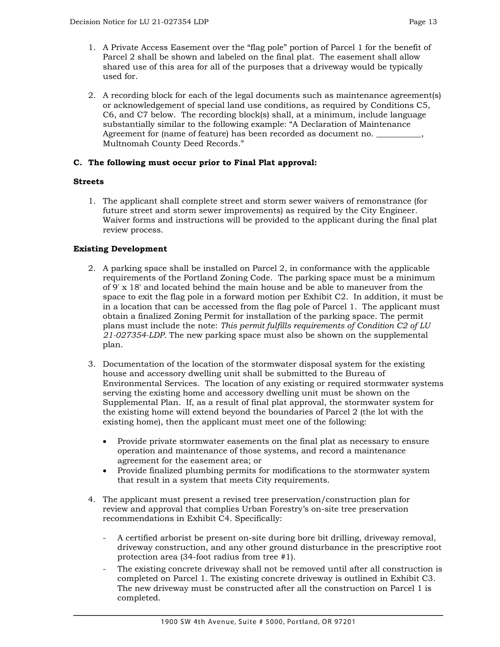- 1. A Private Access Easement over the "flag pole" portion of Parcel 1 for the benefit of Parcel 2 shall be shown and labeled on the final plat. The easement shall allow shared use of this area for all of the purposes that a driveway would be typically used for.
- 2. A recording block for each of the legal documents such as maintenance agreement(s) or acknowledgement of special land use conditions, as required by Conditions C5, C6, and C7 below. The recording block(s) shall, at a minimum, include language substantially similar to the following example: "A Declaration of Maintenance Agreement for (name of feature) has been recorded as document no. \_ Multnomah County Deed Records."

# **C. The following must occur prior to Final Plat approval:**

# **Streets**

1. The applicant shall complete street and storm sewer waivers of remonstrance (for future street and storm sewer improvements) as required by the City Engineer. Waiver forms and instructions will be provided to the applicant during the final plat review process.

# **Existing Development**

- 2. A parking space shall be installed on Parcel 2, in conformance with the applicable requirements of the Portland Zoning Code. The parking space must be a minimum of 9' x 18' and located behind the main house and be able to maneuver from the space to exit the flag pole in a forward motion per Exhibit C2. In addition, it must be in a location that can be accessed from the flag pole of Parcel 1. The applicant must obtain a finalized Zoning Permit for installation of the parking space. The permit plans must include the note: *This permit fulfills requirements of Condition C2 of LU 21-027354-LDP.* The new parking space must also be shown on the supplemental plan.
- 3. Documentation of the location of the stormwater disposal system for the existing house and accessory dwelling unit shall be submitted to the Bureau of Environmental Services. The location of any existing or required stormwater systems serving the existing home and accessory dwelling unit must be shown on the Supplemental Plan. If, as a result of final plat approval, the stormwater system for the existing home will extend beyond the boundaries of Parcel 2 (the lot with the existing home), then the applicant must meet one of the following:
	- Provide private stormwater easements on the final plat as necessary to ensure operation and maintenance of those systems, and record a maintenance agreement for the easement area; or
	- Provide finalized plumbing permits for modifications to the stormwater system that result in a system that meets City requirements.
- 4. The applicant must present a revised tree preservation/construction plan for review and approval that complies Urban Forestry's on-site tree preservation recommendations in Exhibit C4. Specifically:
	- A certified arborist be present on-site during bore bit drilling, driveway removal, driveway construction, and any other ground disturbance in the prescriptive root protection area (34-foot radius from tree #1).
	- The existing concrete driveway shall not be removed until after all construction is completed on Parcel 1. The existing concrete driveway is outlined in Exhibit C3. The new driveway must be constructed after all the construction on Parcel 1 is completed.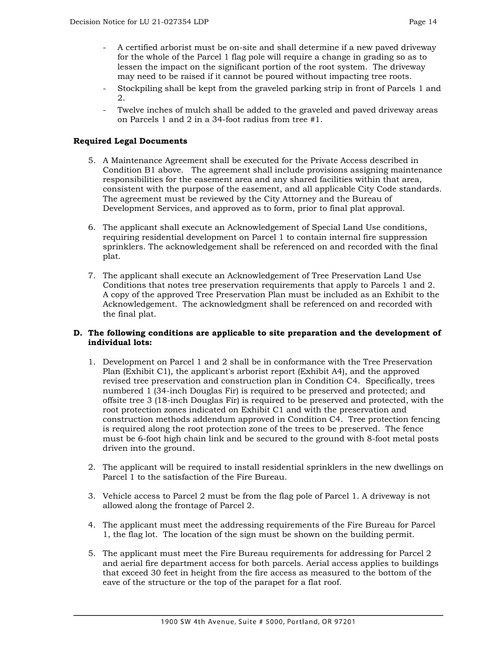- A certified arborist must be on-site and shall determine if a new paved driveway for the whole of the Parcel 1 flag pole will require a change in grading so as to lessen the impact on the significant portion of the root system. The driveway may need to be raised if it cannot be poured without impacting tree roots.
- Stockpiling shall be kept from the graveled parking strip in front of Parcels 1 and 2.
- Twelve inches of mulch shall be added to the graveled and paved driveway areas on Parcels 1 and 2 in a 34-foot radius from tree #1.

# **Required Legal Documents**

- 5. A Maintenance Agreement shall be executed for the Private Access described in Condition B1 above. The agreement shall include provisions assigning maintenance responsibilities for the easement area and any shared facilities within that area, consistent with the purpose of the easement, and all applicable City Code standards. The agreement must be reviewed by the City Attorney and the Bureau of Development Services, and approved as to form, prior to final plat approval.
- 6. The applicant shall execute an Acknowledgement of Special Land Use conditions, requiring residential development on Parcel 1 to contain internal fire suppression sprinklers. The acknowledgement shall be referenced on and recorded with the final plat.
- 7. The applicant shall execute an Acknowledgement of Tree Preservation Land Use Conditions that notes tree preservation requirements that apply to Parcels 1 and 2. A copy of the approved Tree Preservation Plan must be included as an Exhibit to the Acknowledgement. The acknowledgment shall be referenced on and recorded with the final plat.

## **D. The following conditions are applicable to site preparation and the development of individual lots:**

- 1. Development on Parcel 1 and 2 shall be in conformance with the Tree Preservation Plan (Exhibit C1), the applicant's arborist report (Exhibit A4), and the approved revised tree preservation and construction plan in Condition C4. Specifically, trees numbered 1 (34-inch Douglas Fir) is required to be preserved and protected; and offsite tree 3 (18-inch Douglas Fir) is required to be preserved and protected, with the root protection zones indicated on Exhibit C1 and with the preservation and construction methods addendum approved in Condition C4. Tree protection fencing is required along the root protection zone of the trees to be preserved. The fence must be 6-foot high chain link and be secured to the ground with 8-foot metal posts driven into the ground.
- 2. The applicant will be required to install residential sprinklers in the new dwellings on Parcel 1 to the satisfaction of the Fire Bureau.
- 3. Vehicle access to Parcel 2 must be from the flag pole of Parcel 1. A driveway is not allowed along the frontage of Parcel 2.
- 4. The applicant must meet the addressing requirements of the Fire Bureau for Parcel 1, the flag lot. The location of the sign must be shown on the building permit.
- 5. The applicant must meet the Fire Bureau requirements for addressing for Parcel 2 and aerial fire department access for both parcels. Aerial access applies to buildings that exceed 30 feet in height from the fire access as measured to the bottom of the eave of the structure or the top of the parapet for a flat roof.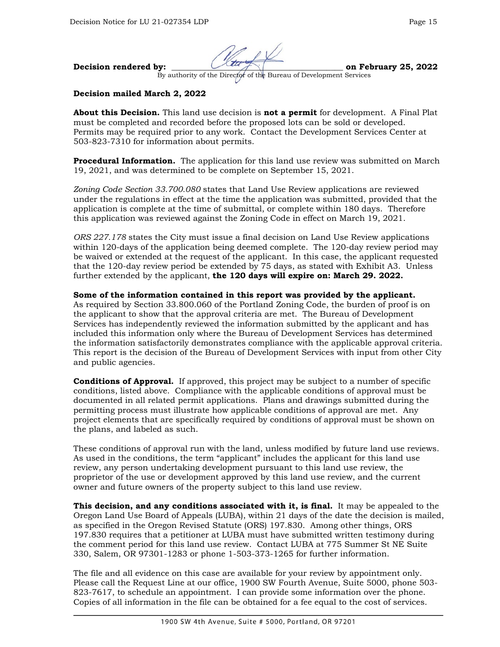

By authority of the Director of the Bureau of Development Services

# **Decision mailed March 2, 2022**

**About this Decision.** This land use decision is **not a permit** for development. A Final Plat must be completed and recorded before the proposed lots can be sold or developed. Permits may be required prior to any work. Contact the Development Services Center at 503-823-7310 for information about permits.

**Procedural Information.** The application for this land use review was submitted on March 19, 2021, and was determined to be complete on September 15, 2021.

*Zoning Code Section 33.700.080* states that Land Use Review applications are reviewed under the regulations in effect at the time the application was submitted, provided that the application is complete at the time of submittal, or complete within 180 days. Therefore this application was reviewed against the Zoning Code in effect on March 19, 2021.

*ORS 227.178* states the City must issue a final decision on Land Use Review applications within 120-days of the application being deemed complete. The 120-day review period may be waived or extended at the request of the applicant. In this case, the applicant requested that the 120-day review period be extended by 75 days, as stated with Exhibit A3. Unless further extended by the applicant, **the 120 days will expire on: March 29. 2022.**

## **Some of the information contained in this report was provided by the applicant.**

As required by Section 33.800.060 of the Portland Zoning Code, the burden of proof is on the applicant to show that the approval criteria are met. The Bureau of Development Services has independently reviewed the information submitted by the applicant and has included this information only where the Bureau of Development Services has determined the information satisfactorily demonstrates compliance with the applicable approval criteria. This report is the decision of the Bureau of Development Services with input from other City and public agencies.

**Conditions of Approval.** If approved, this project may be subject to a number of specific conditions, listed above. Compliance with the applicable conditions of approval must be documented in all related permit applications. Plans and drawings submitted during the permitting process must illustrate how applicable conditions of approval are met. Any project elements that are specifically required by conditions of approval must be shown on the plans, and labeled as such.

These conditions of approval run with the land, unless modified by future land use reviews. As used in the conditions, the term "applicant" includes the applicant for this land use review, any person undertaking development pursuant to this land use review, the proprietor of the use or development approved by this land use review, and the current owner and future owners of the property subject to this land use review.

**This decision, and any conditions associated with it, is final.** It may be appealed to the Oregon Land Use Board of Appeals (LUBA), within 21 days of the date the decision is mailed, as specified in the Oregon Revised Statute (ORS) 197.830. Among other things, ORS 197.830 requires that a petitioner at LUBA must have submitted written testimony during the comment period for this land use review. Contact LUBA at 775 Summer St NE Suite 330, Salem, OR 97301-1283 or phone 1-503-373-1265 for further information.

The file and all evidence on this case are available for your review by appointment only. Please call the Request Line at our office, 1900 SW Fourth Avenue, Suite 5000, phone 503- 823-7617, to schedule an appointment. I can provide some information over the phone. Copies of all information in the file can be obtained for a fee equal to the cost of services.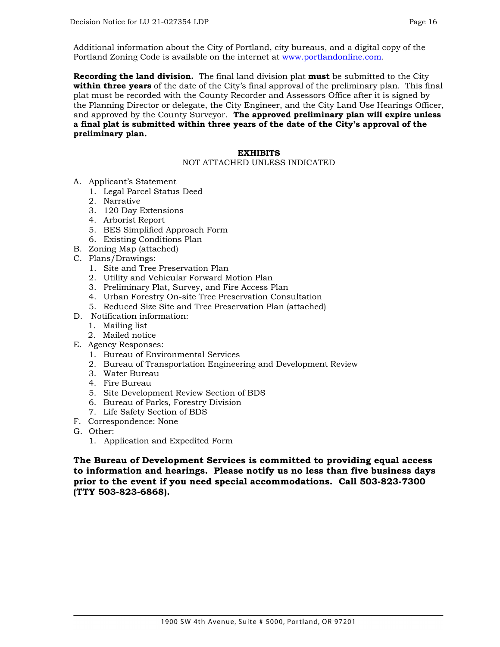Additional information about the City of Portland, city bureaus, and a digital copy of the Portland Zoning Code is available on the internet at [www.portlandonline.com.](http://www.portlandonline.com/)

**Recording the land division.** The final land division plat **must** be submitted to the City **within three years** of the date of the City's final approval of the preliminary plan. This final plat must be recorded with the County Recorder and Assessors Office after it is signed by the Planning Director or delegate, the City Engineer, and the City Land Use Hearings Officer, and approved by the County Surveyor. **The approved preliminary plan will expire unless a final plat is submitted within three years of the date of the City's approval of the preliminary plan.**

#### **EXHIBITS**

# NOT ATTACHED UNLESS INDICATED

- A. Applicant's Statement
	- 1. Legal Parcel Status Deed
	- 2. Narrative
	- 3. 120 Day Extensions
	- 4. Arborist Report
	- 5. BES Simplified Approach Form
	- 6. Existing Conditions Plan
- B. Zoning Map (attached)
- C. Plans/Drawings:
	- 1. Site and Tree Preservation Plan
	- 2. Utility and Vehicular Forward Motion Plan
	- 3. Preliminary Plat, Survey, and Fire Access Plan
	- 4. Urban Forestry On-site Tree Preservation Consultation
	- 5. Reduced Size Site and Tree Preservation Plan (attached)
- D. Notification information:
	- 1. Mailing list
	- 2. Mailed notice
- E. Agency Responses:
	- 1. Bureau of Environmental Services
	- 2. Bureau of Transportation Engineering and Development Review
	- 3. Water Bureau
	- 4. Fire Bureau
	- 5. Site Development Review Section of BDS
	- 6. Bureau of Parks, Forestry Division
	- 7. Life Safety Section of BDS
- F. Correspondence: None
- G. Other:
	- 1. Application and Expedited Form

**The Bureau of Development Services is committed to providing equal access to information and hearings. Please notify us no less than five business days prior to the event if you need special accommodations. Call 503-823-7300 (TTY 503-823-6868).**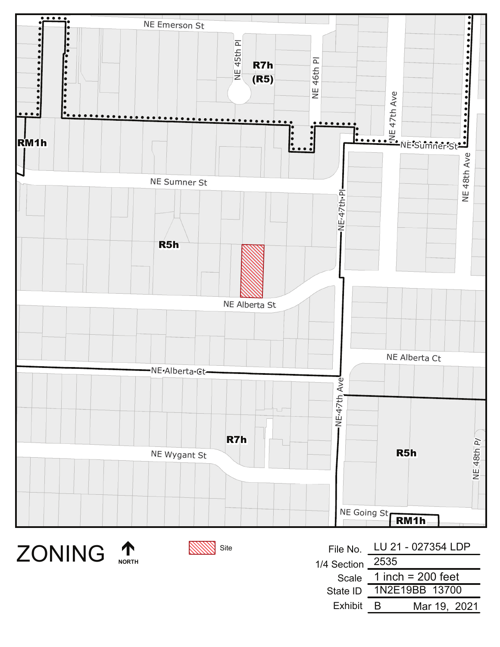



Site

| File No.         | LU 21 - 027354 LDP  |
|------------------|---------------------|
| 1/4 Section 2535 |                     |
| Scale            | 1 inch = $200$ feet |
| State ID         | 1N2E19BB 13700      |
| Exhibit          | Mar 19, 2021        |
|                  |                     |